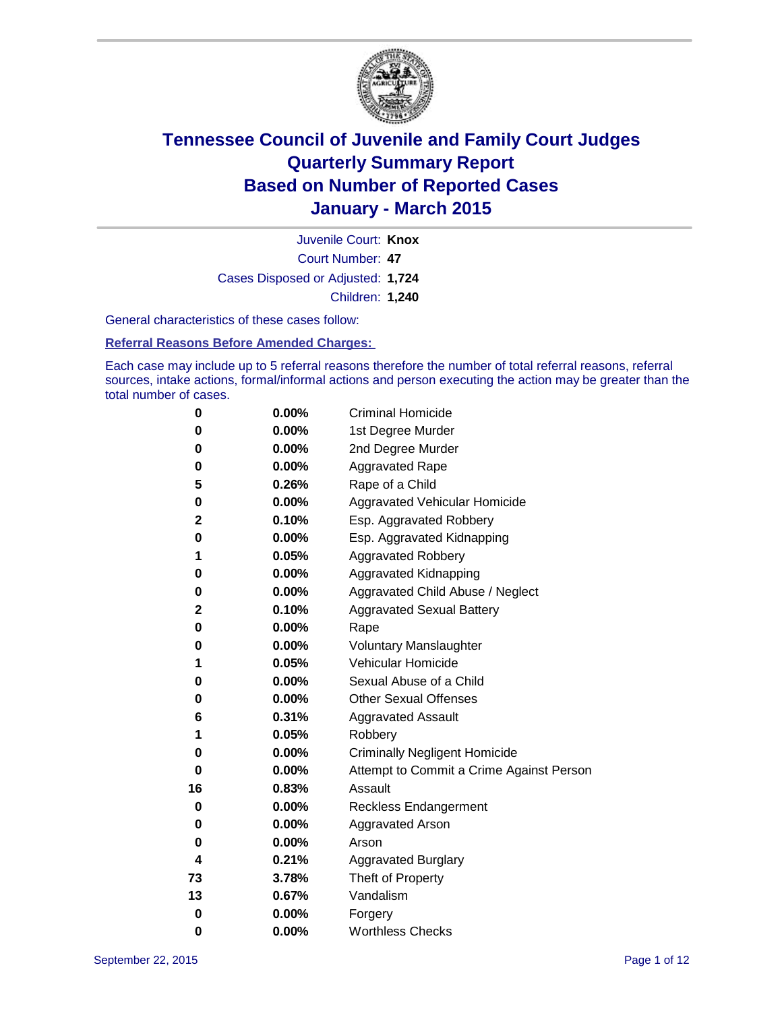

Court Number: **47** Juvenile Court: **Knox** Cases Disposed or Adjusted: **1,724** Children: **1,240**

General characteristics of these cases follow:

**Referral Reasons Before Amended Charges:** 

Each case may include up to 5 referral reasons therefore the number of total referral reasons, referral sources, intake actions, formal/informal actions and person executing the action may be greater than the total number of cases.

| 0  | 0.00%    | <b>Criminal Homicide</b>                 |
|----|----------|------------------------------------------|
| 0  | 0.00%    | 1st Degree Murder                        |
| 0  | 0.00%    | 2nd Degree Murder                        |
| 0  | $0.00\%$ | <b>Aggravated Rape</b>                   |
| 5  | 0.26%    | Rape of a Child                          |
| 0  | 0.00%    | Aggravated Vehicular Homicide            |
| 2  | 0.10%    | Esp. Aggravated Robbery                  |
| 0  | 0.00%    | Esp. Aggravated Kidnapping               |
| 1  | 0.05%    | <b>Aggravated Robbery</b>                |
| 0  | 0.00%    | <b>Aggravated Kidnapping</b>             |
| 0  | 0.00%    | Aggravated Child Abuse / Neglect         |
| 2  | 0.10%    | <b>Aggravated Sexual Battery</b>         |
| 0  | 0.00%    | Rape                                     |
| 0  | $0.00\%$ | <b>Voluntary Manslaughter</b>            |
| 1  | 0.05%    | <b>Vehicular Homicide</b>                |
| 0  | 0.00%    | Sexual Abuse of a Child                  |
| 0  | 0.00%    | <b>Other Sexual Offenses</b>             |
| 6  | 0.31%    | <b>Aggravated Assault</b>                |
| 1  | 0.05%    | Robbery                                  |
| 0  | 0.00%    | <b>Criminally Negligent Homicide</b>     |
| 0  | 0.00%    | Attempt to Commit a Crime Against Person |
| 16 | 0.83%    | Assault                                  |
| 0  | 0.00%    | <b>Reckless Endangerment</b>             |
| 0  | $0.00\%$ | <b>Aggravated Arson</b>                  |
| 0  | 0.00%    | Arson                                    |
| 4  | 0.21%    | <b>Aggravated Burglary</b>               |
| 73 | 3.78%    | Theft of Property                        |
| 13 | 0.67%    | Vandalism                                |
| 0  | 0.00%    | Forgery                                  |
| 0  | 0.00%    | <b>Worthless Checks</b>                  |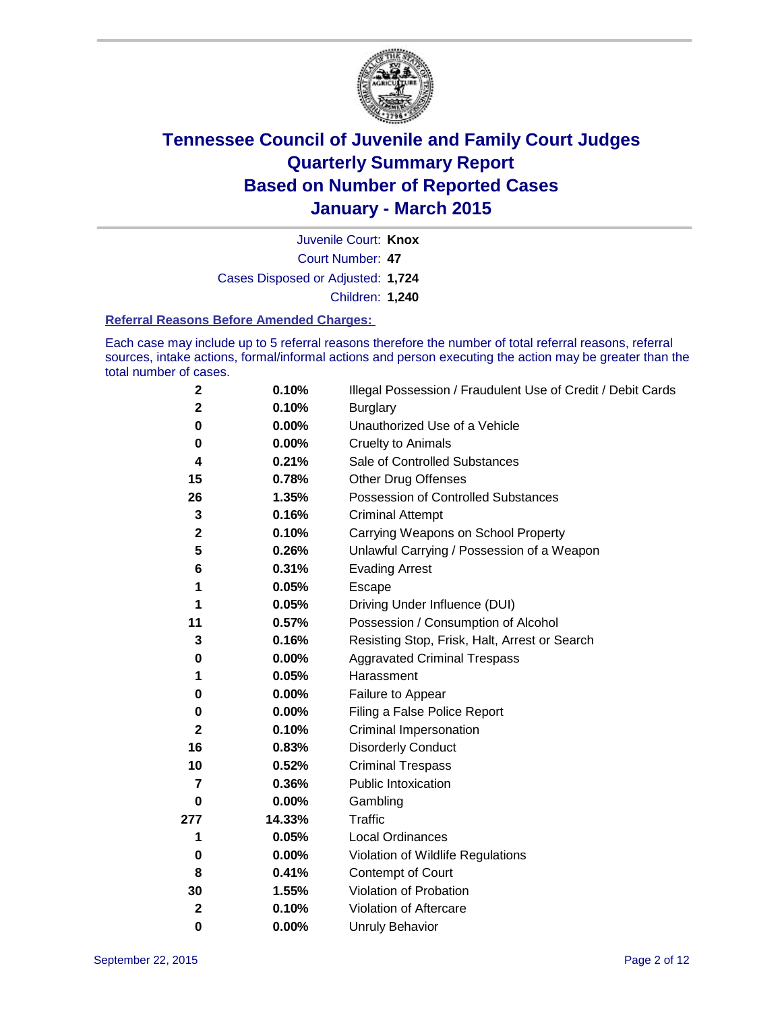

Court Number: **47** Juvenile Court: **Knox** Cases Disposed or Adjusted: **1,724** Children: **1,240**

#### **Referral Reasons Before Amended Charges:**

Each case may include up to 5 referral reasons therefore the number of total referral reasons, referral sources, intake actions, formal/informal actions and person executing the action may be greater than the total number of cases.

| $\boldsymbol{2}$ | 0.10%    | Illegal Possession / Fraudulent Use of Credit / Debit Cards |
|------------------|----------|-------------------------------------------------------------|
| $\mathbf 2$      | 0.10%    | <b>Burglary</b>                                             |
| 0                | 0.00%    | Unauthorized Use of a Vehicle                               |
| 0                | 0.00%    | <b>Cruelty to Animals</b>                                   |
| 4                | 0.21%    | Sale of Controlled Substances                               |
| 15               | 0.78%    | <b>Other Drug Offenses</b>                                  |
| 26               | 1.35%    | Possession of Controlled Substances                         |
| 3                | 0.16%    | <b>Criminal Attempt</b>                                     |
| $\mathbf 2$      | 0.10%    | Carrying Weapons on School Property                         |
| 5                | 0.26%    | Unlawful Carrying / Possession of a Weapon                  |
| 6                | 0.31%    | <b>Evading Arrest</b>                                       |
| 1                | 0.05%    | Escape                                                      |
| 1                | 0.05%    | Driving Under Influence (DUI)                               |
| 11               | 0.57%    | Possession / Consumption of Alcohol                         |
| 3                | 0.16%    | Resisting Stop, Frisk, Halt, Arrest or Search               |
| 0                | 0.00%    | <b>Aggravated Criminal Trespass</b>                         |
| 1                | 0.05%    | Harassment                                                  |
| 0                | 0.00%    | Failure to Appear                                           |
| $\pmb{0}$        | $0.00\%$ | Filing a False Police Report                                |
| $\mathbf 2$      | 0.10%    | Criminal Impersonation                                      |
| 16               | 0.83%    | <b>Disorderly Conduct</b>                                   |
| 10               | 0.52%    | <b>Criminal Trespass</b>                                    |
| 7                | 0.36%    | <b>Public Intoxication</b>                                  |
| 0                | 0.00%    | Gambling                                                    |
| 277              | 14.33%   | <b>Traffic</b>                                              |
| 1                | 0.05%    | Local Ordinances                                            |
| $\mathbf 0$      | $0.00\%$ | Violation of Wildlife Regulations                           |
| 8                | 0.41%    | Contempt of Court                                           |
| 30               | 1.55%    | Violation of Probation                                      |
| $\mathbf{2}$     | 0.10%    | Violation of Aftercare                                      |
| $\bf{0}$         | 0.00%    | <b>Unruly Behavior</b>                                      |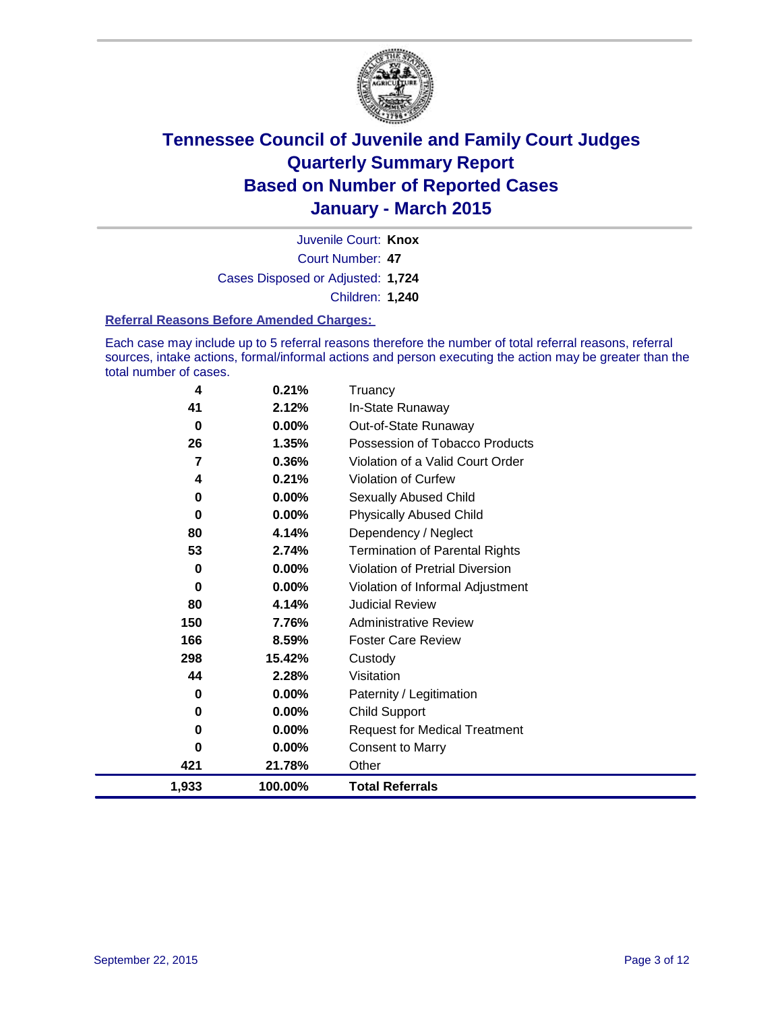

Court Number: **47** Juvenile Court: **Knox** Cases Disposed or Adjusted: **1,724** Children: **1,240**

#### **Referral Reasons Before Amended Charges:**

Each case may include up to 5 referral reasons therefore the number of total referral reasons, referral sources, intake actions, formal/informal actions and person executing the action may be greater than the total number of cases.

| 4     | 0.21%    | Truancy                               |
|-------|----------|---------------------------------------|
| 41    | 2.12%    | In-State Runaway                      |
| 0     | $0.00\%$ | Out-of-State Runaway                  |
| 26    | 1.35%    | Possession of Tobacco Products        |
| 7     | 0.36%    | Violation of a Valid Court Order      |
| 4     | 0.21%    | <b>Violation of Curfew</b>            |
| 0     | 0.00%    | Sexually Abused Child                 |
| 0     | 0.00%    | <b>Physically Abused Child</b>        |
| 80    | 4.14%    | Dependency / Neglect                  |
| 53    | 2.74%    | <b>Termination of Parental Rights</b> |
| 0     | 0.00%    | Violation of Pretrial Diversion       |
| 0     | $0.00\%$ | Violation of Informal Adjustment      |
| 80    | 4.14%    | <b>Judicial Review</b>                |
| 150   | 7.76%    | <b>Administrative Review</b>          |
| 166   | 8.59%    | <b>Foster Care Review</b>             |
| 298   | 15.42%   | Custody                               |
| 44    | 2.28%    | Visitation                            |
| 0     | 0.00%    | Paternity / Legitimation              |
| 0     | $0.00\%$ | <b>Child Support</b>                  |
| 0     | 0.00%    | <b>Request for Medical Treatment</b>  |
| 0     | 0.00%    | <b>Consent to Marry</b>               |
| 421   | 21.78%   | Other                                 |
| 1,933 | 100.00%  | <b>Total Referrals</b>                |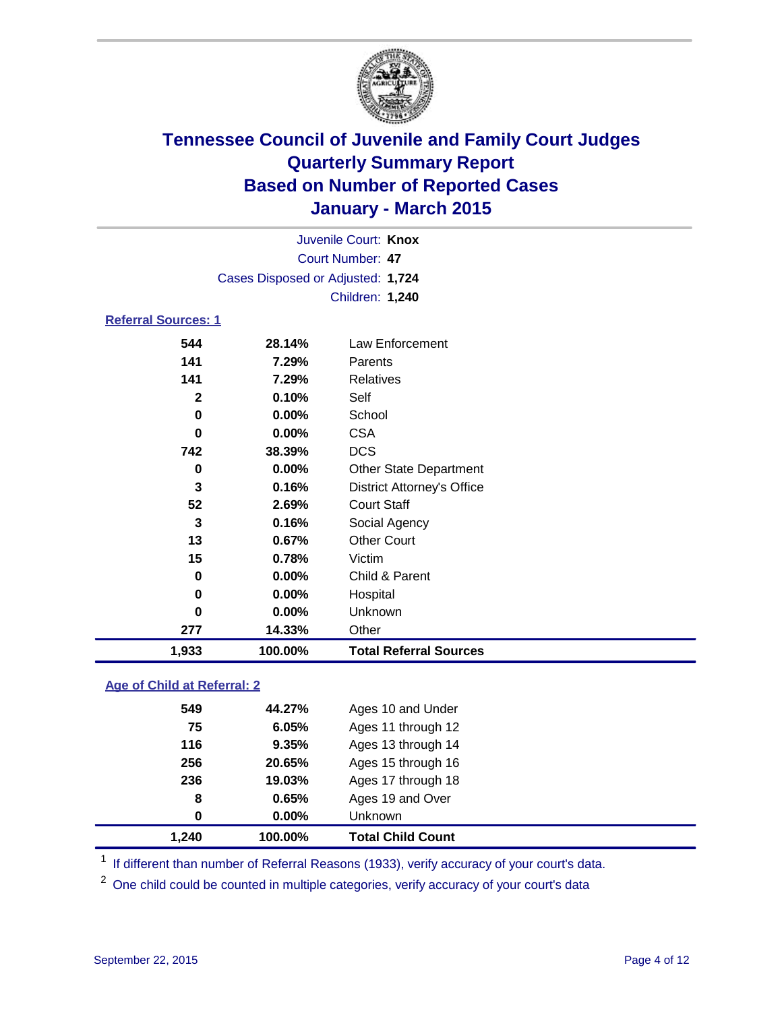

|                            | Juvenile Court: Knox              |                                   |  |  |  |
|----------------------------|-----------------------------------|-----------------------------------|--|--|--|
|                            |                                   | Court Number: 47                  |  |  |  |
|                            | Cases Disposed or Adjusted: 1,724 |                                   |  |  |  |
|                            |                                   | Children: 1,240                   |  |  |  |
| <b>Referral Sources: 1</b> |                                   |                                   |  |  |  |
| 544                        | 28.14%                            | Law Enforcement                   |  |  |  |
| 141                        | 7.29%                             | Parents                           |  |  |  |
| 141                        | 7.29%                             | <b>Relatives</b>                  |  |  |  |
| $\mathbf{2}$               | 0.10%                             | Self                              |  |  |  |
| 0                          | 0.00%                             | School                            |  |  |  |
| 0                          | 0.00%                             | <b>CSA</b>                        |  |  |  |
| 742                        | 38.39%                            | <b>DCS</b>                        |  |  |  |
| $\mathbf 0$                | $0.00\%$                          | <b>Other State Department</b>     |  |  |  |
| 3                          | 0.16%                             | <b>District Attorney's Office</b> |  |  |  |
| 52                         | 2.69%                             | <b>Court Staff</b>                |  |  |  |
| 3                          | 0.16%                             | Social Agency                     |  |  |  |
| 13                         | 0.67%                             | <b>Other Court</b>                |  |  |  |
| 15                         | 0.78%                             | Victim                            |  |  |  |
| 0                          | 0.00%                             | Child & Parent                    |  |  |  |
| 0                          | 0.00%                             | Hospital                          |  |  |  |
| $\bf{0}$                   | 0.00%                             | Unknown                           |  |  |  |
| 277                        | 14.33%                            | Other                             |  |  |  |
| 1,933                      | 100.00%                           | <b>Total Referral Sources</b>     |  |  |  |

### **Age of Child at Referral: 2**

| 1,240 | 100.00% | <b>Total Child Count</b> |
|-------|---------|--------------------------|
| 0     | 0.00%   | Unknown                  |
| 8     | 0.65%   | Ages 19 and Over         |
| 236   | 19.03%  | Ages 17 through 18       |
| 256   | 20.65%  | Ages 15 through 16       |
| 116   | 9.35%   | Ages 13 through 14       |
| 75    | 6.05%   | Ages 11 through 12       |
| 549   | 44.27%  | Ages 10 and Under        |

<sup>1</sup> If different than number of Referral Reasons (1933), verify accuracy of your court's data.

One child could be counted in multiple categories, verify accuracy of your court's data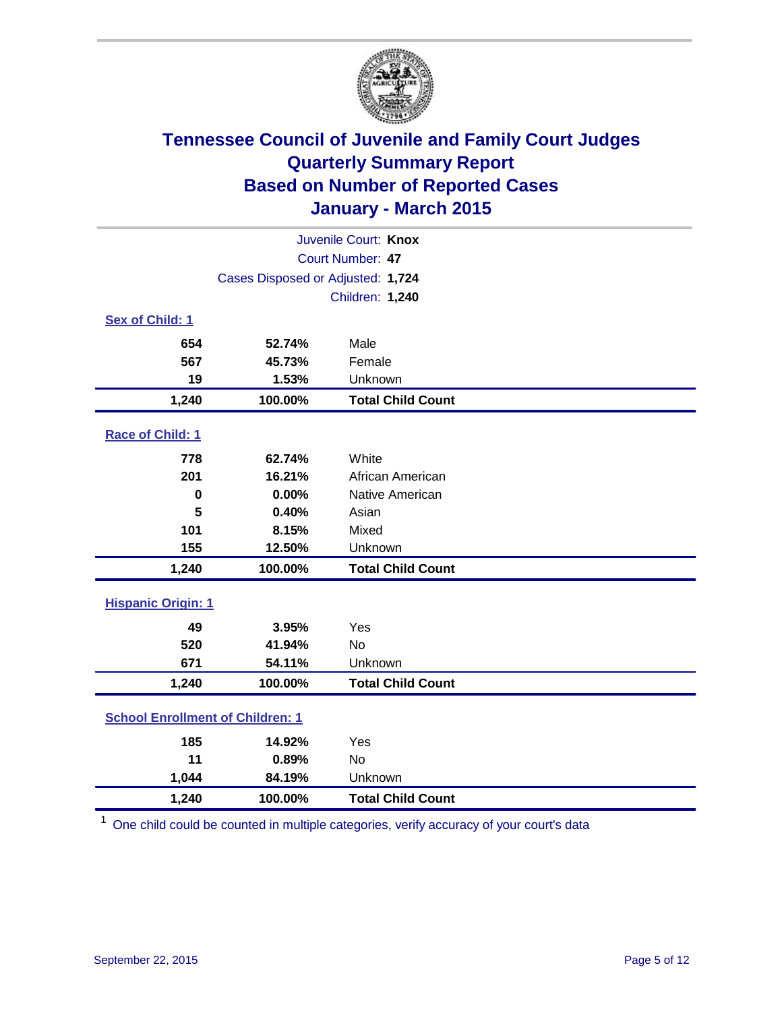

|                                         | Juvenile Court: Knox              |                          |  |  |  |
|-----------------------------------------|-----------------------------------|--------------------------|--|--|--|
| Court Number: 47                        |                                   |                          |  |  |  |
|                                         | Cases Disposed or Adjusted: 1,724 |                          |  |  |  |
|                                         |                                   | Children: 1,240          |  |  |  |
| Sex of Child: 1                         |                                   |                          |  |  |  |
| 654                                     | 52.74%                            | Male                     |  |  |  |
| 567                                     | 45.73%                            | Female                   |  |  |  |
| 19                                      | 1.53%                             | Unknown                  |  |  |  |
| 1,240                                   | 100.00%                           | <b>Total Child Count</b> |  |  |  |
| Race of Child: 1                        |                                   |                          |  |  |  |
| 778                                     | 62.74%                            | White                    |  |  |  |
| 201                                     | 16.21%                            | African American         |  |  |  |
| $\bf{0}$                                | 0.00%                             | Native American          |  |  |  |
| 5                                       | 0.40%                             | Asian                    |  |  |  |
| 101                                     | 8.15%                             | Mixed                    |  |  |  |
| 155                                     | 12.50%                            | Unknown                  |  |  |  |
| 1,240                                   | 100.00%                           | <b>Total Child Count</b> |  |  |  |
| <b>Hispanic Origin: 1</b>               |                                   |                          |  |  |  |
| 49                                      | 3.95%                             | Yes                      |  |  |  |
| 520                                     | 41.94%                            | <b>No</b>                |  |  |  |
| 671                                     | 54.11%                            | Unknown                  |  |  |  |
| 1,240                                   | 100.00%                           | <b>Total Child Count</b> |  |  |  |
| <b>School Enrollment of Children: 1</b> |                                   |                          |  |  |  |
| 185                                     | 14.92%                            | Yes                      |  |  |  |
| 11                                      | 0.89%                             | No                       |  |  |  |
| 1,044                                   | 84.19%                            | Unknown                  |  |  |  |
| 1,240                                   | 100.00%                           | <b>Total Child Count</b> |  |  |  |

<sup>1</sup> One child could be counted in multiple categories, verify accuracy of your court's data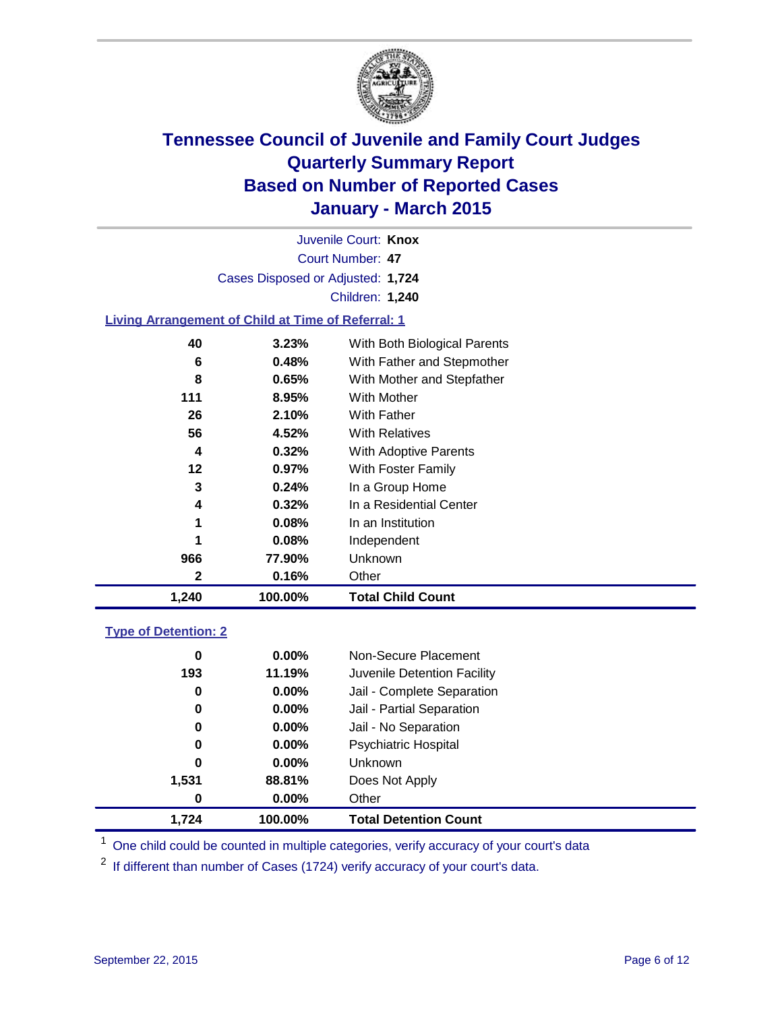

Court Number: **47** Juvenile Court: **Knox** Cases Disposed or Adjusted: **1,724** Children: **1,240**

### **Living Arrangement of Child at Time of Referral: 1**

| 1,240 | 100.00%  | <b>Total Child Count</b>     |
|-------|----------|------------------------------|
| 2     | 0.16%    | Other                        |
| 966   | 77.90%   | Unknown                      |
|       | 0.08%    | Independent                  |
| 1     | 0.08%    | In an Institution            |
| 4     | 0.32%    | In a Residential Center      |
| 3     | 0.24%    | In a Group Home              |
| 12    | $0.97\%$ | With Foster Family           |
| 4     | 0.32%    | With Adoptive Parents        |
| 56    | 4.52%    | <b>With Relatives</b>        |
| 26    | 2.10%    | With Father                  |
| 111   | 8.95%    | <b>With Mother</b>           |
| 8     | 0.65%    | With Mother and Stepfather   |
| 6     | 0.48%    | With Father and Stepmother   |
| 40    | 3.23%    | With Both Biological Parents |
|       |          |                              |

### **Type of Detention: 2**

| 0     | $0.00\%$ | Non-Secure Placement         |  |
|-------|----------|------------------------------|--|
| 193   | 11.19%   | Juvenile Detention Facility  |  |
| 0     | $0.00\%$ | Jail - Complete Separation   |  |
| 0     | $0.00\%$ | Jail - Partial Separation    |  |
| 0     | $0.00\%$ | Jail - No Separation         |  |
| 0     | $0.00\%$ | <b>Psychiatric Hospital</b>  |  |
| 0     | $0.00\%$ | <b>Unknown</b>               |  |
| 1,531 | 88.81%   | Does Not Apply               |  |
| 0     | $0.00\%$ | Other                        |  |
| 1.724 | 100.00%  | <b>Total Detention Count</b> |  |

<sup>1</sup> One child could be counted in multiple categories, verify accuracy of your court's data

If different than number of Cases (1724) verify accuracy of your court's data.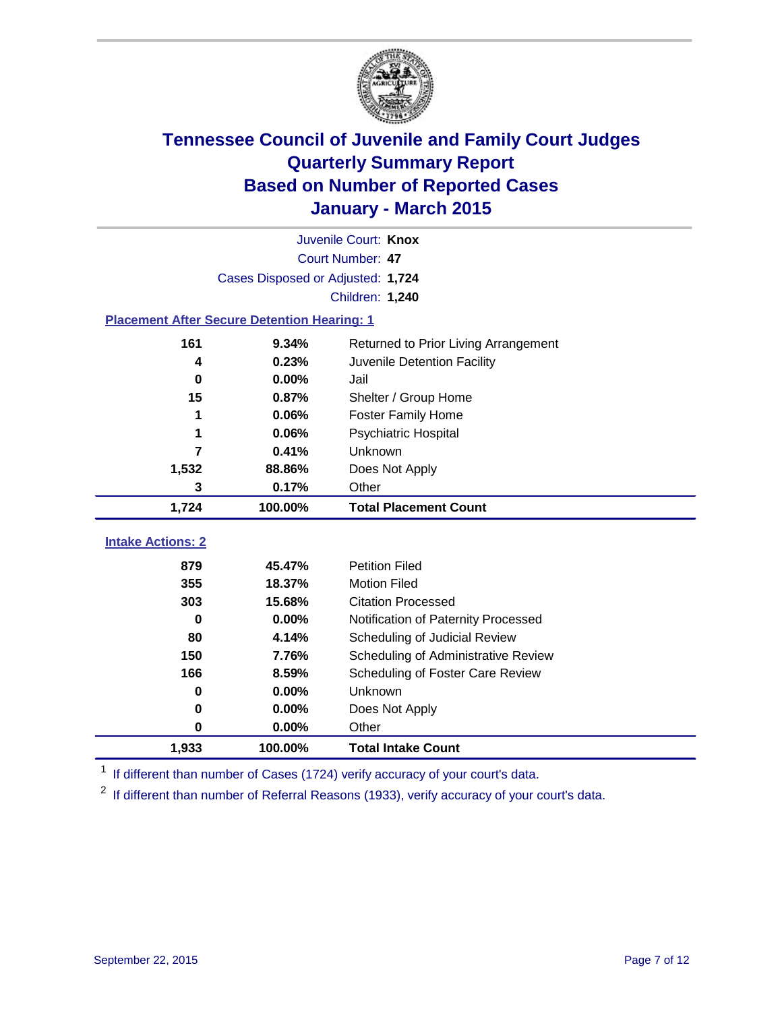

|                                                    | Juvenile Court: Knox              |                                      |  |  |  |  |  |
|----------------------------------------------------|-----------------------------------|--------------------------------------|--|--|--|--|--|
|                                                    | Court Number: 47                  |                                      |  |  |  |  |  |
|                                                    | Cases Disposed or Adjusted: 1,724 |                                      |  |  |  |  |  |
|                                                    | Children: 1,240                   |                                      |  |  |  |  |  |
| <b>Placement After Secure Detention Hearing: 1</b> |                                   |                                      |  |  |  |  |  |
| 161                                                | 9.34%                             | Returned to Prior Living Arrangement |  |  |  |  |  |
| 4                                                  | 0.23%                             | Juvenile Detention Facility          |  |  |  |  |  |
| $\bf{0}$                                           | 0.00%                             | Jail                                 |  |  |  |  |  |
| 15                                                 | 0.87%                             | Shelter / Group Home                 |  |  |  |  |  |
| 1                                                  | 0.06%                             | Foster Family Home                   |  |  |  |  |  |
| 1                                                  | 0.06%                             | Psychiatric Hospital                 |  |  |  |  |  |
| 7                                                  | 0.41%                             | Unknown                              |  |  |  |  |  |
| 1,532                                              | 88.86%                            | Does Not Apply                       |  |  |  |  |  |
| 3                                                  | 0.17%                             | Other                                |  |  |  |  |  |
| 1,724                                              | 100.00%                           | <b>Total Placement Count</b>         |  |  |  |  |  |
| <b>Intake Actions: 2</b>                           |                                   |                                      |  |  |  |  |  |
|                                                    |                                   |                                      |  |  |  |  |  |
| 879                                                | 45.47%                            | <b>Petition Filed</b>                |  |  |  |  |  |
| 355                                                | 18.37%                            | <b>Motion Filed</b>                  |  |  |  |  |  |
| 303                                                | 15.68%                            | <b>Citation Processed</b>            |  |  |  |  |  |
| $\bf{0}$                                           | 0.00%                             | Notification of Paternity Processed  |  |  |  |  |  |
| 80                                                 | 4.14%                             | Scheduling of Judicial Review        |  |  |  |  |  |
| 150                                                | 7.76%                             | Scheduling of Administrative Review  |  |  |  |  |  |
| 166                                                | 8.59%                             | Scheduling of Foster Care Review     |  |  |  |  |  |
| 0                                                  | 0.00%                             | Unknown                              |  |  |  |  |  |
| 0                                                  | 0.00%                             | Does Not Apply                       |  |  |  |  |  |
| 0                                                  | 0.00%                             | Other                                |  |  |  |  |  |
|                                                    |                                   |                                      |  |  |  |  |  |

<sup>1</sup> If different than number of Cases (1724) verify accuracy of your court's data.

<sup>2</sup> If different than number of Referral Reasons (1933), verify accuracy of your court's data.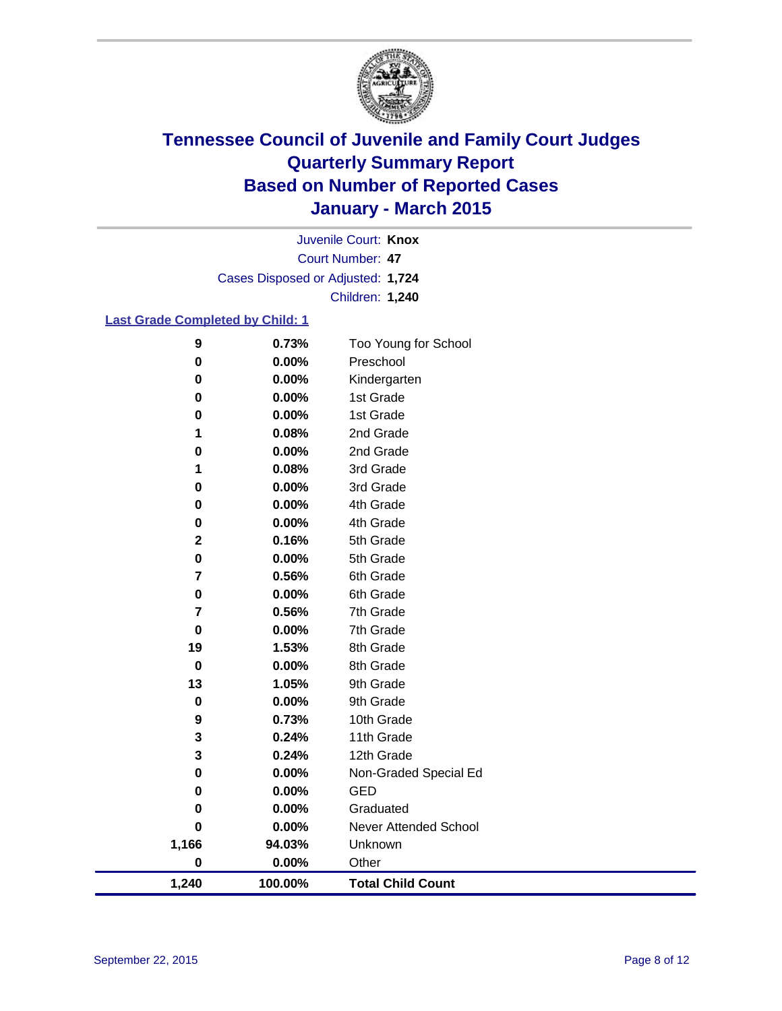

Court Number: **47** Juvenile Court: **Knox** Cases Disposed or Adjusted: **1,724** Children: **1,240**

### **Last Grade Completed by Child: 1**

| 9           | 0.73%   | Too Young for School     |
|-------------|---------|--------------------------|
| 0           | 0.00%   | Preschool                |
| 0           | 0.00%   | Kindergarten             |
| 0           | 0.00%   | 1st Grade                |
| $\pmb{0}$   | 0.00%   | 1st Grade                |
| 1           | 0.08%   | 2nd Grade                |
| $\pmb{0}$   | 0.00%   | 2nd Grade                |
| 1           | 0.08%   | 3rd Grade                |
| 0           | 0.00%   | 3rd Grade                |
| 0           | 0.00%   | 4th Grade                |
| 0           | 0.00%   | 4th Grade                |
| $\mathbf 2$ | 0.16%   | 5th Grade                |
| $\pmb{0}$   | 0.00%   | 5th Grade                |
| 7           | 0.56%   | 6th Grade                |
| 0           | 0.00%   | 6th Grade                |
| 7           | 0.56%   | 7th Grade                |
| $\mathbf 0$ | 0.00%   | 7th Grade                |
| 19          | 1.53%   | 8th Grade                |
| $\mathbf 0$ | 0.00%   | 8th Grade                |
| 13          | 1.05%   | 9th Grade                |
| $\pmb{0}$   | 0.00%   | 9th Grade                |
| 9           | 0.73%   | 10th Grade               |
| 3           | 0.24%   | 11th Grade               |
| 3           | 0.24%   | 12th Grade               |
| $\pmb{0}$   | 0.00%   | Non-Graded Special Ed    |
| 0           | 0.00%   | <b>GED</b>               |
| 0           | 0.00%   | Graduated                |
| 0           | 0.00%   | Never Attended School    |
| 1,166       | 94.03%  | Unknown                  |
| $\pmb{0}$   | 0.00%   | Other                    |
| 1,240       | 100.00% | <b>Total Child Count</b> |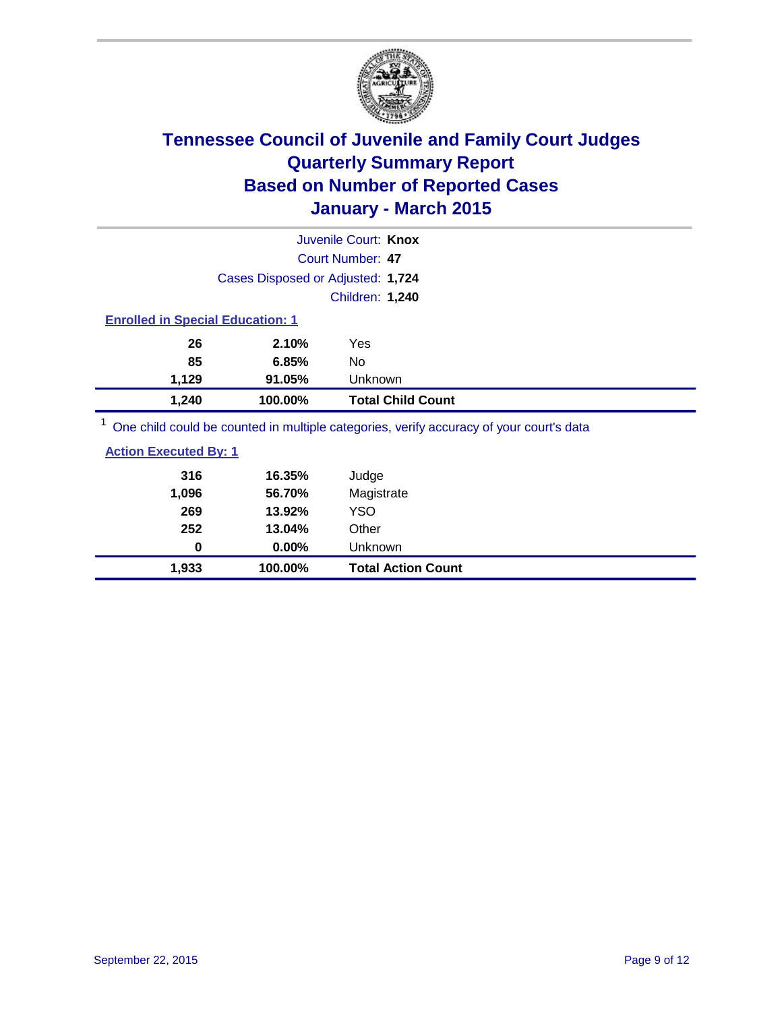

|                                         |                                   | Juvenile Court: Knox                                                                    |
|-----------------------------------------|-----------------------------------|-----------------------------------------------------------------------------------------|
|                                         |                                   | Court Number: 47                                                                        |
|                                         | Cases Disposed or Adjusted: 1,724 |                                                                                         |
|                                         |                                   | Children: 1,240                                                                         |
| <b>Enrolled in Special Education: 1</b> |                                   |                                                                                         |
| 26                                      | 2.10%                             | Yes                                                                                     |
| 85                                      | 6.85%                             | No                                                                                      |
| 1,129                                   | 91.05%                            | Unknown                                                                                 |
| 1,240                                   | 100.00%                           | <b>Total Child Count</b>                                                                |
|                                         |                                   | One child could be counted in multiple categories, verify accuracy of your court's data |

**Action Executed By: 1**

| 1,933                        | 100.00%  | <b>Total Action Count</b> |
|------------------------------|----------|---------------------------|
| 0                            | $0.00\%$ | <b>Unknown</b>            |
| 252                          | 13.04%   | Other                     |
| 269                          | 13.92%   | <b>YSO</b>                |
| 1,096                        | 56.70%   | Magistrate                |
| 316                          | 16.35%   | Judge                     |
| <b>Action Executed By: 1</b> |          |                           |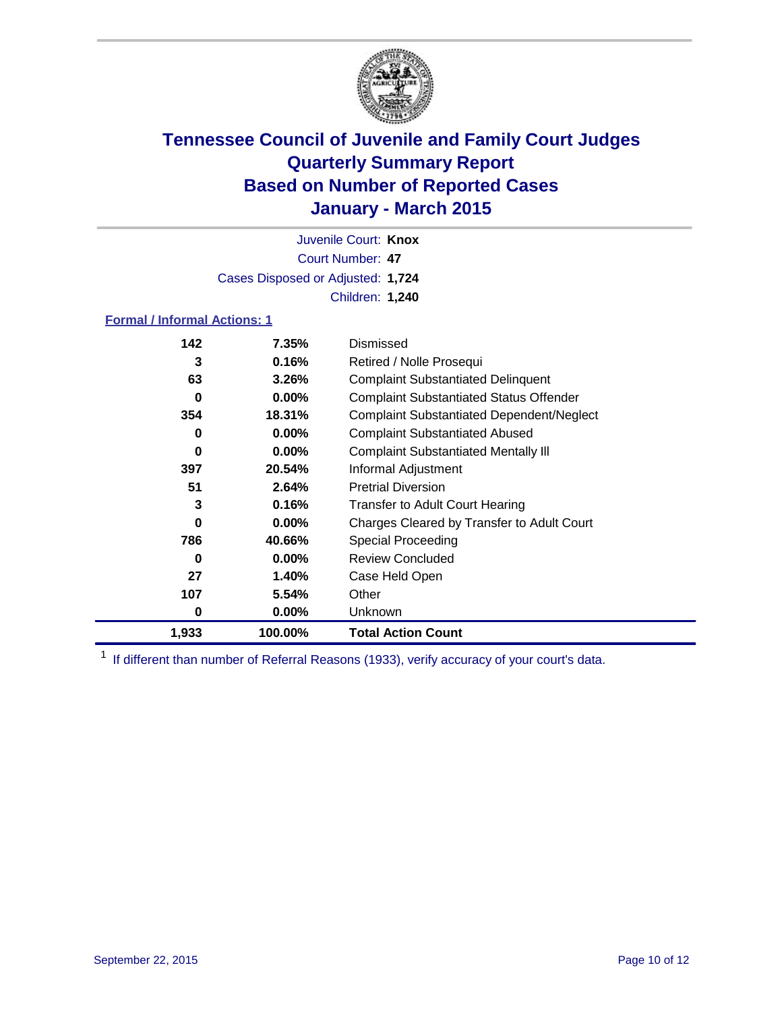

Court Number: **47** Juvenile Court: **Knox** Cases Disposed or Adjusted: **1,724** Children: **1,240**

#### **Formal / Informal Actions: 1**

| 142   | 7.35%    | Dismissed                                        |
|-------|----------|--------------------------------------------------|
| 3     | 0.16%    | Retired / Nolle Prosequi                         |
| 63    | $3.26\%$ | <b>Complaint Substantiated Delinquent</b>        |
| 0     | $0.00\%$ | <b>Complaint Substantiated Status Offender</b>   |
| 354   | 18.31%   | <b>Complaint Substantiated Dependent/Neglect</b> |
| 0     | $0.00\%$ | <b>Complaint Substantiated Abused</b>            |
| 0     | $0.00\%$ | <b>Complaint Substantiated Mentally III</b>      |
| 397   | 20.54%   | Informal Adjustment                              |
| 51    | 2.64%    | <b>Pretrial Diversion</b>                        |
| 3     | 0.16%    | <b>Transfer to Adult Court Hearing</b>           |
| 0     | $0.00\%$ | Charges Cleared by Transfer to Adult Court       |
| 786   | 40.66%   | <b>Special Proceeding</b>                        |
| 0     | $0.00\%$ | <b>Review Concluded</b>                          |
| 27    | 1.40%    | Case Held Open                                   |
| 107   | 5.54%    | Other                                            |
| 0     | $0.00\%$ | Unknown                                          |
| 1,933 | 100.00%  | <b>Total Action Count</b>                        |

<sup>1</sup> If different than number of Referral Reasons (1933), verify accuracy of your court's data.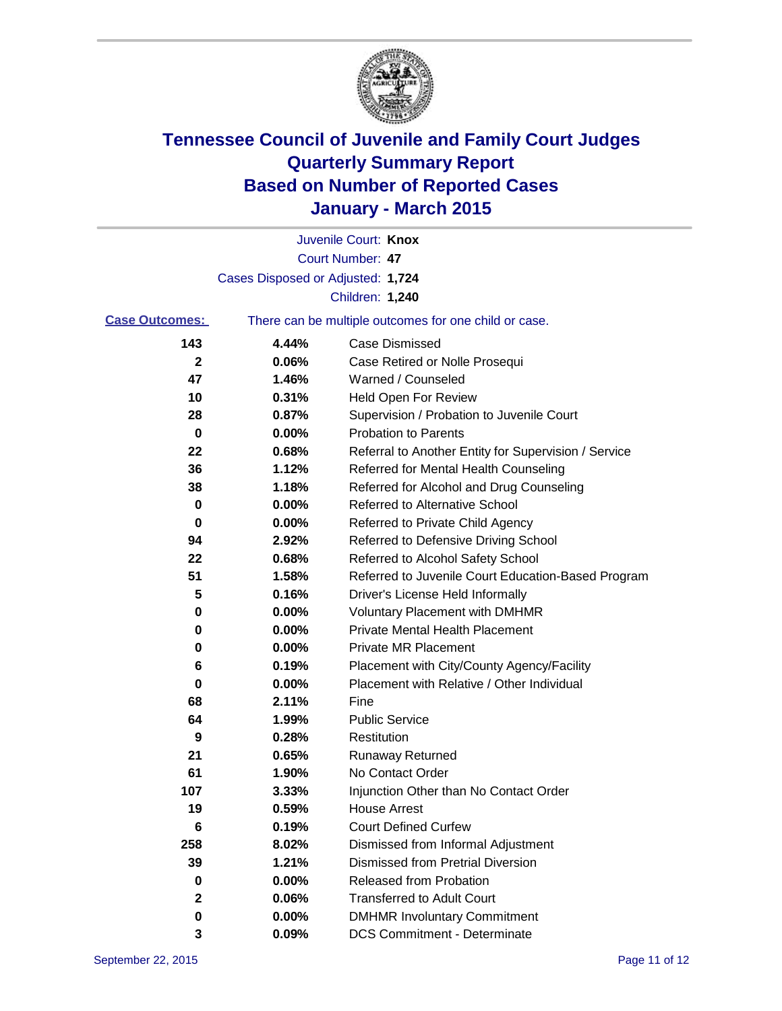

|                       |                                                       | Juvenile Court: Knox                                 |  |
|-----------------------|-------------------------------------------------------|------------------------------------------------------|--|
|                       |                                                       | Court Number: 47                                     |  |
|                       | Cases Disposed or Adjusted: 1,724                     |                                                      |  |
|                       |                                                       | Children: 1,240                                      |  |
| <b>Case Outcomes:</b> | There can be multiple outcomes for one child or case. |                                                      |  |
| 143                   | 4.44%                                                 | <b>Case Dismissed</b>                                |  |
| 2                     | 0.06%                                                 | Case Retired or Nolle Prosequi                       |  |
| 47                    | 1.46%                                                 | Warned / Counseled                                   |  |
| 10                    | 0.31%                                                 | <b>Held Open For Review</b>                          |  |
| 28                    | 0.87%                                                 | Supervision / Probation to Juvenile Court            |  |
| 0                     | 0.00%                                                 | <b>Probation to Parents</b>                          |  |
| 22                    | 0.68%                                                 | Referral to Another Entity for Supervision / Service |  |
| 36                    | 1.12%                                                 | Referred for Mental Health Counseling                |  |
| 38                    | 1.18%                                                 | Referred for Alcohol and Drug Counseling             |  |
| 0                     | 0.00%                                                 | <b>Referred to Alternative School</b>                |  |
| 0                     | 0.00%                                                 | Referred to Private Child Agency                     |  |
| 94                    | 2.92%                                                 | Referred to Defensive Driving School                 |  |
| 22                    | 0.68%                                                 | Referred to Alcohol Safety School                    |  |
| 51                    | 1.58%                                                 | Referred to Juvenile Court Education-Based Program   |  |
| 5                     | 0.16%                                                 | Driver's License Held Informally                     |  |
| 0                     | 0.00%                                                 | <b>Voluntary Placement with DMHMR</b>                |  |
| 0                     | 0.00%                                                 | <b>Private Mental Health Placement</b>               |  |
| 0                     | $0.00\%$                                              | <b>Private MR Placement</b>                          |  |
| 6                     | 0.19%                                                 | Placement with City/County Agency/Facility           |  |
| 0                     | 0.00%                                                 | Placement with Relative / Other Individual           |  |
| 68                    | 2.11%                                                 | Fine                                                 |  |
| 64                    | 1.99%                                                 | <b>Public Service</b>                                |  |
| 9                     | 0.28%                                                 | Restitution                                          |  |
| 21                    | 0.65%                                                 | <b>Runaway Returned</b>                              |  |
| 61                    | 1.90%                                                 | No Contact Order                                     |  |
| 107                   | 3.33%                                                 | Injunction Other than No Contact Order               |  |
| 19                    | 0.59%                                                 | House Arrest                                         |  |
| 6                     | 0.19%                                                 | <b>Court Defined Curfew</b>                          |  |
| 258                   | 8.02%                                                 | Dismissed from Informal Adjustment                   |  |
| 39                    | 1.21%                                                 | <b>Dismissed from Pretrial Diversion</b>             |  |
| 0                     | 0.00%                                                 | Released from Probation                              |  |
| 2                     | 0.06%                                                 | <b>Transferred to Adult Court</b>                    |  |
| 0                     | 0.00%                                                 | <b>DMHMR Involuntary Commitment</b>                  |  |
| 3                     | 0.09%                                                 | <b>DCS Commitment - Determinate</b>                  |  |